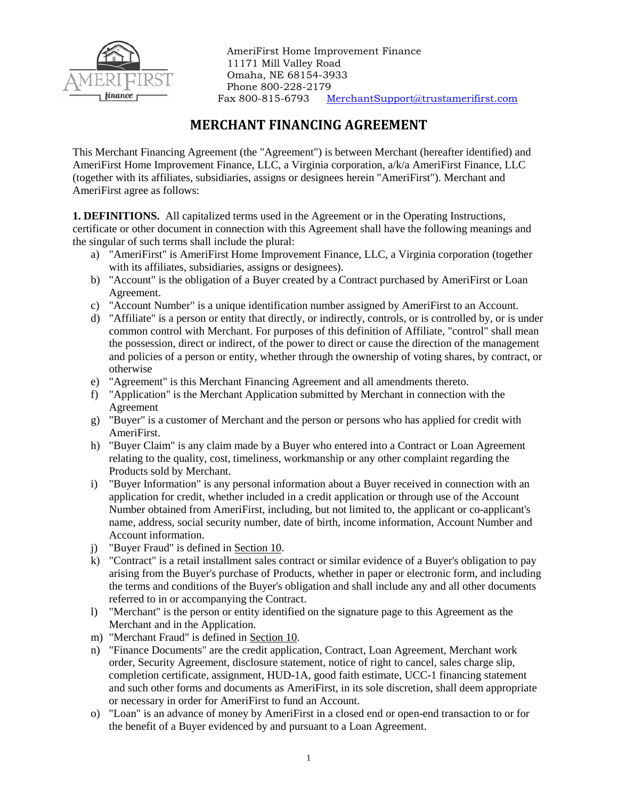

AmeriFirst Home Improvement Finance 11171 Mill Valley Road Omaha, NE 68154-3933 Phone 800-228-2179 Fax 800-815-6793 [MerchantSupport@trustamerifirst.com](mailto:DealerSupport@trustamerifirst.com)

# **MERCHANT FINANCING AGREEMENT**

This Merchant Financing Agreement (the "Agreement") is between Merchant (hereafter identified) and AmeriFirst Home Improvement Finance, LLC, a Virginia corporation, a/k/a AmeriFirst Finance, LLC (together with its affiliates, subsidiaries, assigns or designees herein "AmeriFirst"). Merchant and AmeriFirst agree as follows:

**1. DEFINITIONS.** All capitalized terms used in the Agreement or in the Operating Instructions, certificate or other document in connection with this Agreement shall have the following meanings and the singular of such terms shall include the plural:

- a) "AmeriFirst" is AmeriFirst Home Improvement Finance, LLC, a Virginia corporation (together with its affiliates, subsidiaries, assigns or designees).
- b) "Account" is the obligation of a Buyer created by a Contract purchased by AmeriFirst or Loan Agreement.
- c) "Account Number" is a unique identification number assigned by AmeriFirst to an Account.
- d) "Affiliate" is a person or entity that directly, or indirectly, controls, or is controlled by, or is under common control with Merchant. For purposes of this definition of Affiliate, "control" shall mean the possession, direct or indirect, of the power to direct or cause the direction of the management and policies of a person or entity, whether through the ownership of voting shares, by contract, or otherwise
- e) "Agreement" is this Merchant Financing Agreement and all amendments thereto.
- f) "Application" is the Merchant Application submitted by Merchant in connection with the Agreement
- g) "Buyer" is a customer of Merchant and the person or persons who has applied for credit with AmeriFirst.
- h) "Buyer Claim" is any claim made by a Buyer who entered into a Contract or Loan Agreement relating to the quality, cost, timeliness, workmanship or any other complaint regarding the Products sold by Merchant.
- i) "Buyer Information" is any personal information about a Buyer received in connection with an application for credit, whether included in a credit application or through use of the Account Number obtained from AmeriFirst, including, but not limited to, the applicant or co-applicant's name, address, social security number, date of birth, income information, Account Number and Account information.
- j) "Buyer Fraud" is defined in Section 10.
- k) "Contract" is a retail installment sales contract or similar evidence of a Buyer's obligation to pay arising from the Buyer's purchase of Products, whether in paper or electronic form, and including the terms and conditions of the Buyer's obligation and shall include any and all other documents referred to in or accompanying the Contract.
- l) "Merchant" is the person or entity identified on the signature page to this Agreement as the Merchant and in the Application.
- m) "Merchant Fraud" is defined in Section 10.
- n) "Finance Documents" are the credit application, Contract, Loan Agreement, Merchant work order, Security Agreement, disclosure statement, notice of right to cancel, sales charge slip, completion certificate, assignment, HUD-1A, good faith estimate, UCC-1 financing statement and such other forms and documents as AmeriFirst, in its sole discretion, shall deem appropriate or necessary in order for AmeriFirst to fund an Account.
- o) "Loan" is an advance of money by AmeriFirst in a closed end or open-end transaction to or for the benefit of a Buyer evidenced by and pursuant to a Loan Agreement.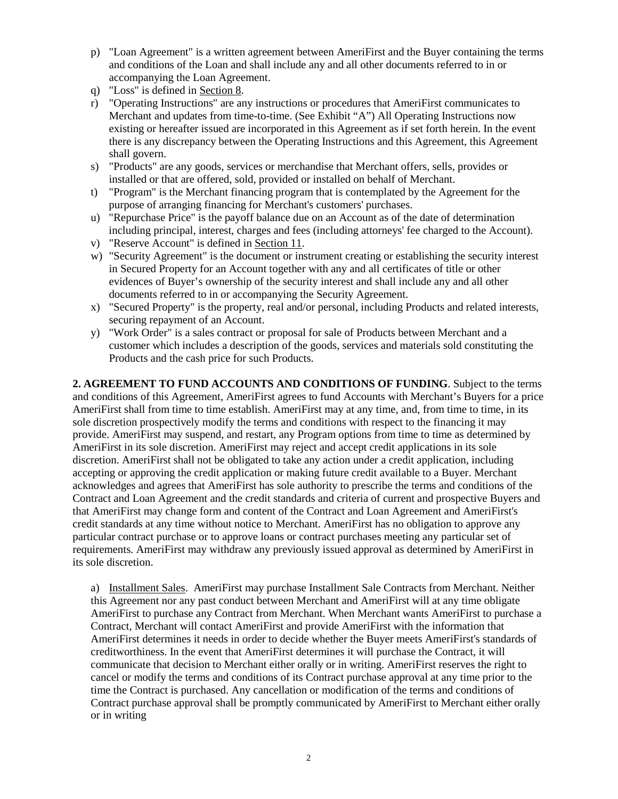- p) "Loan Agreement" is a written agreement between AmeriFirst and the Buyer containing the terms and conditions of the Loan and shall include any and all other documents referred to in or accompanying the Loan Agreement.
- q) "Loss" is defined in Section 8.
- r) "Operating Instructions" are any instructions or procedures that AmeriFirst communicates to Merchant and updates from time-to-time. (See Exhibit "A") All Operating Instructions now existing or hereafter issued are incorporated in this Agreement as if set forth herein. In the event there is any discrepancy between the Operating Instructions and this Agreement, this Agreement shall govern.
- s) "Products" are any goods, services or merchandise that Merchant offers, sells, provides or installed or that are offered, sold, provided or installed on behalf of Merchant.
- t) "Program" is the Merchant financing program that is contemplated by the Agreement for the purpose of arranging financing for Merchant's customers' purchases.
- u) "Repurchase Price" is the payoff balance due on an Account as of the date of determination including principal, interest, charges and fees (including attorneys' fee charged to the Account).
- v) "Reserve Account" is defined in Section 11.
- w) "Security Agreement" is the document or instrument creating or establishing the security interest in Secured Property for an Account together with any and all certificates of title or other evidences of Buyer's ownership of the security interest and shall include any and all other documents referred to in or accompanying the Security Agreement.
- x) "Secured Property" is the property, real and/or personal, including Products and related interests, securing repayment of an Account.
- y) "Work Order" is a sales contract or proposal for sale of Products between Merchant and a customer which includes a description of the goods, services and materials sold constituting the Products and the cash price for such Products.

**2. AGREEMENT TO FUND ACCOUNTS AND CONDITIONS OF FUNDING**. Subject to the terms and conditions of this Agreement, AmeriFirst agrees to fund Accounts with Merchant's Buyers for a price AmeriFirst shall from time to time establish. AmeriFirst may at any time, and, from time to time, in its sole discretion prospectively modify the terms and conditions with respect to the financing it may provide. AmeriFirst may suspend, and restart, any Program options from time to time as determined by AmeriFirst in its sole discretion. AmeriFirst may reject and accept credit applications in its sole discretion. AmeriFirst shall not be obligated to take any action under a credit application, including accepting or approving the credit application or making future credit available to a Buyer. Merchant acknowledges and agrees that AmeriFirst has sole authority to prescribe the terms and conditions of the Contract and Loan Agreement and the credit standards and criteria of current and prospective Buyers and that AmeriFirst may change form and content of the Contract and Loan Agreement and AmeriFirst's credit standards at any time without notice to Merchant. AmeriFirst has no obligation to approve any particular contract purchase or to approve loans or contract purchases meeting any particular set of requirements. AmeriFirst may withdraw any previously issued approval as determined by AmeriFirst in its sole discretion.

a) Installment Sales. AmeriFirst may purchase Installment Sale Contracts from Merchant. Neither this Agreement nor any past conduct between Merchant and AmeriFirst will at any time obligate AmeriFirst to purchase any Contract from Merchant. When Merchant wants AmeriFirst to purchase a Contract, Merchant will contact AmeriFirst and provide AmeriFirst with the information that AmeriFirst determines it needs in order to decide whether the Buyer meets AmeriFirst's standards of creditworthiness. In the event that AmeriFirst determines it will purchase the Contract, it will communicate that decision to Merchant either orally or in writing. AmeriFirst reserves the right to cancel or modify the terms and conditions of its Contract purchase approval at any time prior to the time the Contract is purchased. Any cancellation or modification of the terms and conditions of Contract purchase approval shall be promptly communicated by AmeriFirst to Merchant either orally or in writing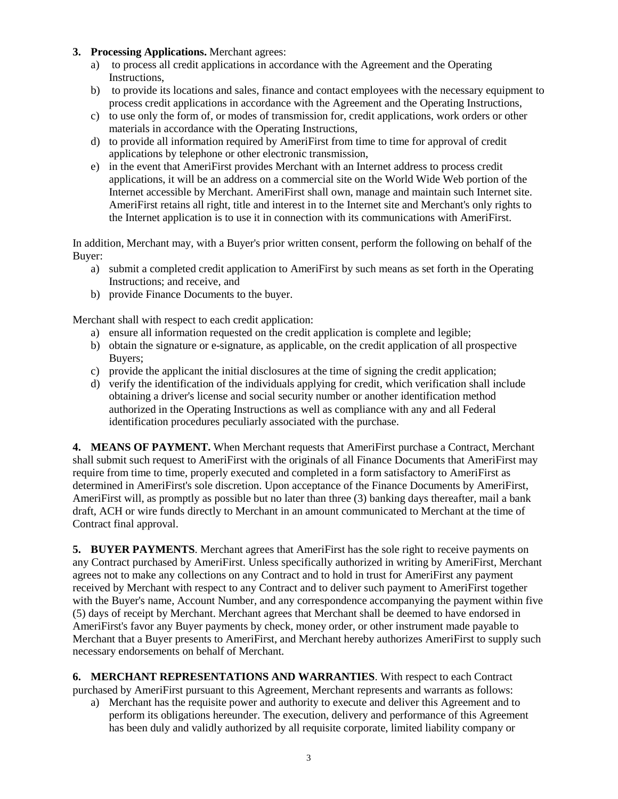- **3. Processing Applications.** Merchant agrees:
	- a) to process all credit applications in accordance with the Agreement and the Operating Instructions,
	- b) to provide its locations and sales, finance and contact employees with the necessary equipment to process credit applications in accordance with the Agreement and the Operating Instructions,
	- c) to use only the form of, or modes of transmission for, credit applications, work orders or other materials in accordance with the Operating Instructions,
	- d) to provide all information required by AmeriFirst from time to time for approval of credit applications by telephone or other electronic transmission,
	- e) in the event that AmeriFirst provides Merchant with an Internet address to process credit applications, it will be an address on a commercial site on the World Wide Web portion of the Internet accessible by Merchant. AmeriFirst shall own, manage and maintain such Internet site. AmeriFirst retains all right, title and interest in to the Internet site and Merchant's only rights to the Internet application is to use it in connection with its communications with AmeriFirst.

In addition, Merchant may, with a Buyer's prior written consent, perform the following on behalf of the Buyer:

- a) submit a completed credit application to AmeriFirst by such means as set forth in the Operating Instructions; and receive, and
- b) provide Finance Documents to the buyer.

Merchant shall with respect to each credit application:

- a) ensure all information requested on the credit application is complete and legible;
- b) obtain the signature or e-signature, as applicable, on the credit application of all prospective Buyers;
- c) provide the applicant the initial disclosures at the time of signing the credit application;
- d) verify the identification of the individuals applying for credit, which verification shall include obtaining a driver's license and social security number or another identification method authorized in the Operating Instructions as well as compliance with any and all Federal identification procedures peculiarly associated with the purchase.

**4. MEANS OF PAYMENT.** When Merchant requests that AmeriFirst purchase a Contract, Merchant shall submit such request to AmeriFirst with the originals of all Finance Documents that AmeriFirst may require from time to time, properly executed and completed in a form satisfactory to AmeriFirst as determined in AmeriFirst's sole discretion. Upon acceptance of the Finance Documents by AmeriFirst, AmeriFirst will, as promptly as possible but no later than three (3) banking days thereafter, mail a bank draft, ACH or wire funds directly to Merchant in an amount communicated to Merchant at the time of Contract final approval.

**5. BUYER PAYMENTS**. Merchant agrees that AmeriFirst has the sole right to receive payments on any Contract purchased by AmeriFirst. Unless specifically authorized in writing by AmeriFirst, Merchant agrees not to make any collections on any Contract and to hold in trust for AmeriFirst any payment received by Merchant with respect to any Contract and to deliver such payment to AmeriFirst together with the Buyer's name, Account Number, and any correspondence accompanying the payment within five (5) days of receipt by Merchant. Merchant agrees that Merchant shall be deemed to have endorsed in AmeriFirst's favor any Buyer payments by check, money order, or other instrument made payable to Merchant that a Buyer presents to AmeriFirst, and Merchant hereby authorizes AmeriFirst to supply such necessary endorsements on behalf of Merchant.

**6. MERCHANT REPRESENTATIONS AND WARRANTIES**. With respect to each Contract purchased by AmeriFirst pursuant to this Agreement, Merchant represents and warrants as follows:

a) Merchant has the requisite power and authority to execute and deliver this Agreement and to perform its obligations hereunder. The execution, delivery and performance of this Agreement has been duly and validly authorized by all requisite corporate, limited liability company or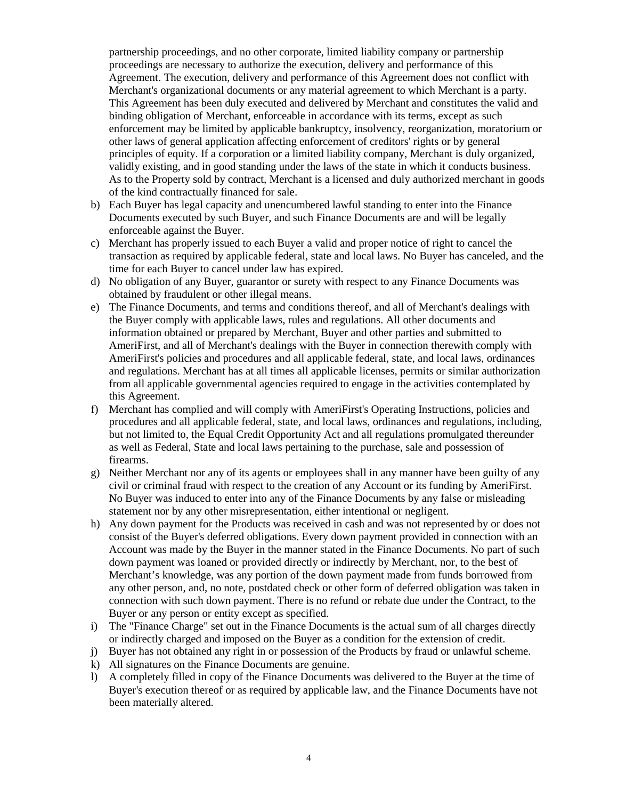partnership proceedings, and no other corporate, limited liability company or partnership proceedings are necessary to authorize the execution, delivery and performance of this Agreement. The execution, delivery and performance of this Agreement does not conflict with Merchant's organizational documents or any material agreement to which Merchant is a party. This Agreement has been duly executed and delivered by Merchant and constitutes the valid and binding obligation of Merchant, enforceable in accordance with its terms, except as such enforcement may be limited by applicable bankruptcy, insolvency, reorganization, moratorium or other laws of general application affecting enforcement of creditors' rights or by general principles of equity. If a corporation or a limited liability company, Merchant is duly organized, validly existing, and in good standing under the laws of the state in which it conducts business. As to the Property sold by contract, Merchant is a licensed and duly authorized merchant in goods of the kind contractually financed for sale.

- b) Each Buyer has legal capacity and unencumbered lawful standing to enter into the Finance Documents executed by such Buyer, and such Finance Documents are and will be legally enforceable against the Buyer.
- c) Merchant has properly issued to each Buyer a valid and proper notice of right to cancel the transaction as required by applicable federal, state and local laws. No Buyer has canceled, and the time for each Buyer to cancel under law has expired.
- d) No obligation of any Buyer, guarantor or surety with respect to any Finance Documents was obtained by fraudulent or other illegal means.
- e) The Finance Documents, and terms and conditions thereof, and all of Merchant's dealings with the Buyer comply with applicable laws, rules and regulations. All other documents and information obtained or prepared by Merchant, Buyer and other parties and submitted to AmeriFirst, and all of Merchant's dealings with the Buyer in connection therewith comply with AmeriFirst's policies and procedures and all applicable federal, state, and local laws, ordinances and regulations. Merchant has at all times all applicable licenses, permits or similar authorization from all applicable governmental agencies required to engage in the activities contemplated by this Agreement.
- f) Merchant has complied and will comply with AmeriFirst's Operating Instructions, policies and procedures and all applicable federal, state, and local laws, ordinances and regulations, including, but not limited to, the Equal Credit Opportunity Act and all regulations promulgated thereunder as well as Federal, State and local laws pertaining to the purchase, sale and possession of firearms.
- g) Neither Merchant nor any of its agents or employees shall in any manner have been guilty of any civil or criminal fraud with respect to the creation of any Account or its funding by AmeriFirst. No Buyer was induced to enter into any of the Finance Documents by any false or misleading statement nor by any other misrepresentation, either intentional or negligent.
- h) Any down payment for the Products was received in cash and was not represented by or does not consist of the Buyer's deferred obligations. Every down payment provided in connection with an Account was made by the Buyer in the manner stated in the Finance Documents. No part of such down payment was loaned or provided directly or indirectly by Merchant, nor, to the best of Merchant's knowledge, was any portion of the down payment made from funds borrowed from any other person, and, no note, postdated check or other form of deferred obligation was taken in connection with such down payment. There is no refund or rebate due under the Contract, to the Buyer or any person or entity except as specified.
- i) The "Finance Charge" set out in the Finance Documents is the actual sum of all charges directly or indirectly charged and imposed on the Buyer as a condition for the extension of credit.
- j) Buyer has not obtained any right in or possession of the Products by fraud or unlawful scheme.
- k) All signatures on the Finance Documents are genuine.
- l) A completely filled in copy of the Finance Documents was delivered to the Buyer at the time of Buyer's execution thereof or as required by applicable law, and the Finance Documents have not been materially altered.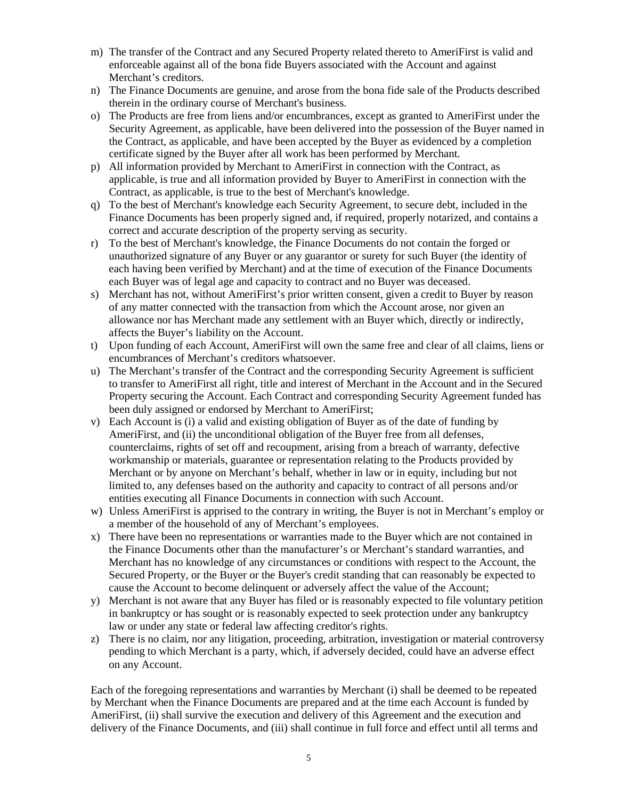- m) The transfer of the Contract and any Secured Property related thereto to AmeriFirst is valid and enforceable against all of the bona fide Buyers associated with the Account and against Merchant's creditors.
- n) The Finance Documents are genuine, and arose from the bona fide sale of the Products described therein in the ordinary course of Merchant's business.
- o) The Products are free from liens and/or encumbrances, except as granted to AmeriFirst under the Security Agreement, as applicable, have been delivered into the possession of the Buyer named in the Contract, as applicable, and have been accepted by the Buyer as evidenced by a completion certificate signed by the Buyer after all work has been performed by Merchant.
- p) All information provided by Merchant to AmeriFirst in connection with the Contract, as applicable, is true and all information provided by Buyer to AmeriFirst in connection with the Contract, as applicable, is true to the best of Merchant's knowledge.
- q) To the best of Merchant's knowledge each Security Agreement, to secure debt, included in the Finance Documents has been properly signed and, if required, properly notarized, and contains a correct and accurate description of the property serving as security.
- r) To the best of Merchant's knowledge, the Finance Documents do not contain the forged or unauthorized signature of any Buyer or any guarantor or surety for such Buyer (the identity of each having been verified by Merchant) and at the time of execution of the Finance Documents each Buyer was of legal age and capacity to contract and no Buyer was deceased.
- s) Merchant has not, without AmeriFirst's prior written consent, given a credit to Buyer by reason of any matter connected with the transaction from which the Account arose, nor given an allowance nor has Merchant made any settlement with an Buyer which, directly or indirectly, affects the Buyer's liability on the Account.
- t) Upon funding of each Account, AmeriFirst will own the same free and clear of all claims, liens or encumbrances of Merchant's creditors whatsoever.
- u) The Merchant's transfer of the Contract and the corresponding Security Agreement is sufficient to transfer to AmeriFirst all right, title and interest of Merchant in the Account and in the Secured Property securing the Account. Each Contract and corresponding Security Agreement funded has been duly assigned or endorsed by Merchant to AmeriFirst;
- v) Each Account is (i) a valid and existing obligation of Buyer as of the date of funding by AmeriFirst, and (ii) the unconditional obligation of the Buyer free from all defenses, counterclaims, rights of set off and recoupment, arising from a breach of warranty, defective workmanship or materials, guarantee or representation relating to the Products provided by Merchant or by anyone on Merchant's behalf, whether in law or in equity, including but not limited to, any defenses based on the authority and capacity to contract of all persons and/or entities executing all Finance Documents in connection with such Account.
- w) Unless AmeriFirst is apprised to the contrary in writing, the Buyer is not in Merchant's employ or a member of the household of any of Merchant's employees.
- x) There have been no representations or warranties made to the Buyer which are not contained in the Finance Documents other than the manufacturer's or Merchant's standard warranties, and Merchant has no knowledge of any circumstances or conditions with respect to the Account, the Secured Property, or the Buyer or the Buyer's credit standing that can reasonably be expected to cause the Account to become delinquent or adversely affect the value of the Account;
- y) Merchant is not aware that any Buyer has filed or is reasonably expected to file voluntary petition in bankruptcy or has sought or is reasonably expected to seek protection under any bankruptcy law or under any state or federal law affecting creditor's rights.
- z) There is no claim, nor any litigation, proceeding, arbitration, investigation or material controversy pending to which Merchant is a party, which, if adversely decided, could have an adverse effect on any Account.

Each of the foregoing representations and warranties by Merchant (i) shall be deemed to be repeated by Merchant when the Finance Documents are prepared and at the time each Account is funded by AmeriFirst, (ii) shall survive the execution and delivery of this Agreement and the execution and delivery of the Finance Documents, and (iii) shall continue in full force and effect until all terms and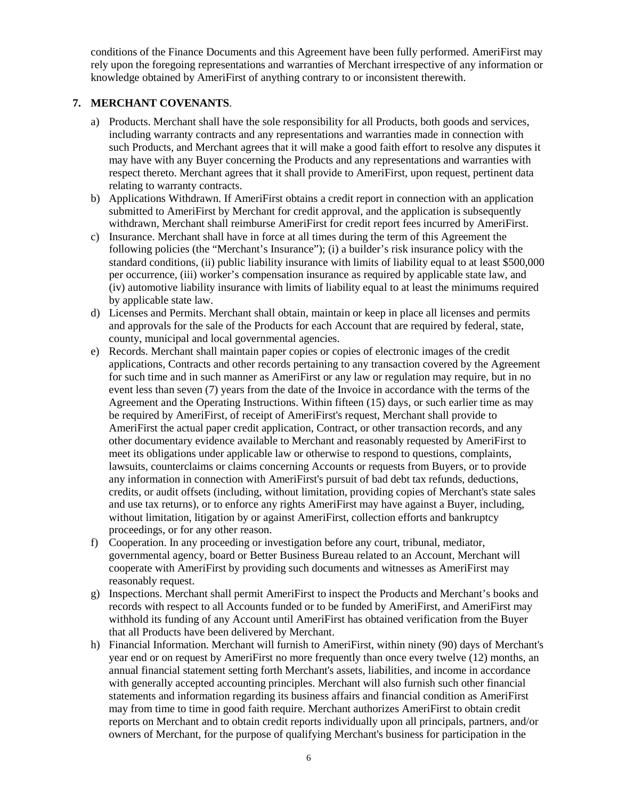conditions of the Finance Documents and this Agreement have been fully performed. AmeriFirst may rely upon the foregoing representations and warranties of Merchant irrespective of any information or knowledge obtained by AmeriFirst of anything contrary to or inconsistent therewith.

# **7. MERCHANT COVENANTS**.

- a) Products. Merchant shall have the sole responsibility for all Products, both goods and services, including warranty contracts and any representations and warranties made in connection with such Products, and Merchant agrees that it will make a good faith effort to resolve any disputes it may have with any Buyer concerning the Products and any representations and warranties with respect thereto. Merchant agrees that it shall provide to AmeriFirst, upon request, pertinent data relating to warranty contracts.
- b) Applications Withdrawn. If AmeriFirst obtains a credit report in connection with an application submitted to AmeriFirst by Merchant for credit approval, and the application is subsequently withdrawn, Merchant shall reimburse AmeriFirst for credit report fees incurred by AmeriFirst.
- c) Insurance. Merchant shall have in force at all times during the term of this Agreement the following policies (the "Merchant's Insurance"); (i) a builder's risk insurance policy with the standard conditions, (ii) public liability insurance with limits of liability equal to at least \$500,000 per occurrence, (iii) worker's compensation insurance as required by applicable state law, and (iv) automotive liability insurance with limits of liability equal to at least the minimums required by applicable state law.
- d) Licenses and Permits. Merchant shall obtain, maintain or keep in place all licenses and permits and approvals for the sale of the Products for each Account that are required by federal, state, county, municipal and local governmental agencies.
- e) Records. Merchant shall maintain paper copies or copies of electronic images of the credit applications, Contracts and other records pertaining to any transaction covered by the Agreement for such time and in such manner as AmeriFirst or any law or regulation may require, but in no event less than seven (7) years from the date of the Invoice in accordance with the terms of the Agreement and the Operating Instructions. Within fifteen (15) days, or such earlier time as may be required by AmeriFirst, of receipt of AmeriFirst's request, Merchant shall provide to AmeriFirst the actual paper credit application, Contract, or other transaction records, and any other documentary evidence available to Merchant and reasonably requested by AmeriFirst to meet its obligations under applicable law or otherwise to respond to questions, complaints, lawsuits, counterclaims or claims concerning Accounts or requests from Buyers, or to provide any information in connection with AmeriFirst's pursuit of bad debt tax refunds, deductions, credits, or audit offsets (including, without limitation, providing copies of Merchant's state sales and use tax returns), or to enforce any rights AmeriFirst may have against a Buyer, including, without limitation, litigation by or against AmeriFirst, collection efforts and bankruptcy proceedings, or for any other reason.
- f) Cooperation. In any proceeding or investigation before any court, tribunal, mediator, governmental agency, board or Better Business Bureau related to an Account, Merchant will cooperate with AmeriFirst by providing such documents and witnesses as AmeriFirst may reasonably request.
- g) Inspections. Merchant shall permit AmeriFirst to inspect the Products and Merchant's books and records with respect to all Accounts funded or to be funded by AmeriFirst, and AmeriFirst may withhold its funding of any Account until AmeriFirst has obtained verification from the Buyer that all Products have been delivered by Merchant.
- h) Financial Information. Merchant will furnish to AmeriFirst, within ninety (90) days of Merchant's year end or on request by AmeriFirst no more frequently than once every twelve (12) months, an annual financial statement setting forth Merchant's assets, liabilities, and income in accordance with generally accepted accounting principles. Merchant will also furnish such other financial statements and information regarding its business affairs and financial condition as AmeriFirst may from time to time in good faith require. Merchant authorizes AmeriFirst to obtain credit reports on Merchant and to obtain credit reports individually upon all principals, partners, and/or owners of Merchant, for the purpose of qualifying Merchant's business for participation in the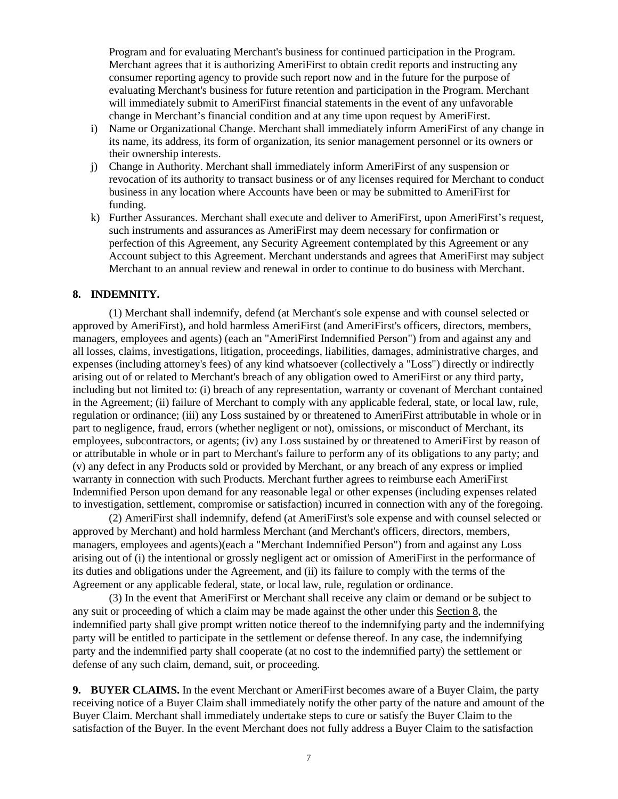Program and for evaluating Merchant's business for continued participation in the Program. Merchant agrees that it is authorizing AmeriFirst to obtain credit reports and instructing any consumer reporting agency to provide such report now and in the future for the purpose of evaluating Merchant's business for future retention and participation in the Program. Merchant will immediately submit to AmeriFirst financial statements in the event of any unfavorable change in Merchant's financial condition and at any time upon request by AmeriFirst.

- i) Name or Organizational Change. Merchant shall immediately inform AmeriFirst of any change in its name, its address, its form of organization, its senior management personnel or its owners or their ownership interests.
- j) Change in Authority. Merchant shall immediately inform AmeriFirst of any suspension or revocation of its authority to transact business or of any licenses required for Merchant to conduct business in any location where Accounts have been or may be submitted to AmeriFirst for funding.
- k) Further Assurances. Merchant shall execute and deliver to AmeriFirst, upon AmeriFirst's request, such instruments and assurances as AmeriFirst may deem necessary for confirmation or perfection of this Agreement, any Security Agreement contemplated by this Agreement or any Account subject to this Agreement. Merchant understands and agrees that AmeriFirst may subject Merchant to an annual review and renewal in order to continue to do business with Merchant.

### **8. INDEMNITY.**

(1) Merchant shall indemnify, defend (at Merchant's sole expense and with counsel selected or approved by AmeriFirst), and hold harmless AmeriFirst (and AmeriFirst's officers, directors, members, managers, employees and agents) (each an "AmeriFirst Indemnified Person") from and against any and all losses, claims, investigations, litigation, proceedings, liabilities, damages, administrative charges, and expenses (including attorney's fees) of any kind whatsoever (collectively a "Loss") directly or indirectly arising out of or related to Merchant's breach of any obligation owed to AmeriFirst or any third party, including but not limited to: (i) breach of any representation, warranty or covenant of Merchant contained in the Agreement; (ii) failure of Merchant to comply with any applicable federal, state, or local law, rule, regulation or ordinance; (iii) any Loss sustained by or threatened to AmeriFirst attributable in whole or in part to negligence, fraud, errors (whether negligent or not), omissions, or misconduct of Merchant, its employees, subcontractors, or agents; (iv) any Loss sustained by or threatened to AmeriFirst by reason of or attributable in whole or in part to Merchant's failure to perform any of its obligations to any party; and (v) any defect in any Products sold or provided by Merchant, or any breach of any express or implied warranty in connection with such Products. Merchant further agrees to reimburse each AmeriFirst Indemnified Person upon demand for any reasonable legal or other expenses (including expenses related to investigation, settlement, compromise or satisfaction) incurred in connection with any of the foregoing.

(2) AmeriFirst shall indemnify, defend (at AmeriFirst's sole expense and with counsel selected or approved by Merchant) and hold harmless Merchant (and Merchant's officers, directors, members, managers, employees and agents)(each a "Merchant Indemnified Person") from and against any Loss arising out of (i) the intentional or grossly negligent act or omission of AmeriFirst in the performance of its duties and obligations under the Agreement, and (ii) its failure to comply with the terms of the Agreement or any applicable federal, state, or local law, rule, regulation or ordinance.

(3) In the event that AmeriFirst or Merchant shall receive any claim or demand or be subject to any suit or proceeding of which a claim may be made against the other under this Section 8, the indemnified party shall give prompt written notice thereof to the indemnifying party and the indemnifying party will be entitled to participate in the settlement or defense thereof. In any case, the indemnifying party and the indemnified party shall cooperate (at no cost to the indemnified party) the settlement or defense of any such claim, demand, suit, or proceeding.

**9. BUYER CLAIMS.** In the event Merchant or AmeriFirst becomes aware of a Buyer Claim, the party receiving notice of a Buyer Claim shall immediately notify the other party of the nature and amount of the Buyer Claim. Merchant shall immediately undertake steps to cure or satisfy the Buyer Claim to the satisfaction of the Buyer. In the event Merchant does not fully address a Buyer Claim to the satisfaction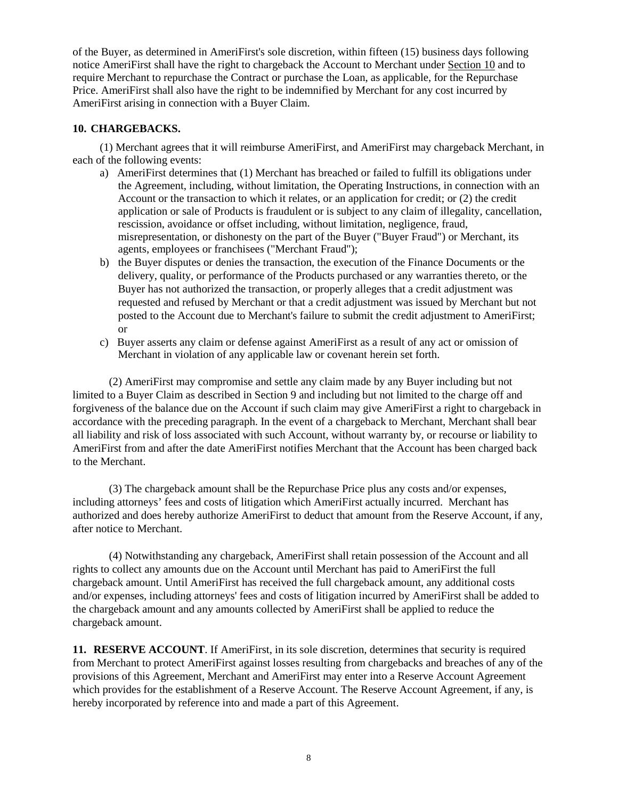of the Buyer, as determined in AmeriFirst's sole discretion, within fifteen (15) business days following notice AmeriFirst shall have the right to chargeback the Account to Merchant under Section 10 and to require Merchant to repurchase the Contract or purchase the Loan, as applicable, for the Repurchase Price. AmeriFirst shall also have the right to be indemnified by Merchant for any cost incurred by AmeriFirst arising in connection with a Buyer Claim.

# **10. CHARGEBACKS.**

(1) Merchant agrees that it will reimburse AmeriFirst, and AmeriFirst may chargeback Merchant, in each of the following events:

- a) AmeriFirst determines that (1) Merchant has breached or failed to fulfill its obligations under the Agreement, including, without limitation, the Operating Instructions, in connection with an Account or the transaction to which it relates, or an application for credit; or (2) the credit application or sale of Products is fraudulent or is subject to any claim of illegality, cancellation, rescission, avoidance or offset including, without limitation, negligence, fraud, misrepresentation, or dishonesty on the part of the Buyer ("Buyer Fraud") or Merchant, its agents, employees or franchisees ("Merchant Fraud");
- b) the Buyer disputes or denies the transaction, the execution of the Finance Documents or the delivery, quality, or performance of the Products purchased or any warranties thereto, or the Buyer has not authorized the transaction, or properly alleges that a credit adjustment was requested and refused by Merchant or that a credit adjustment was issued by Merchant but not posted to the Account due to Merchant's failure to submit the credit adjustment to AmeriFirst; or
- c) Buyer asserts any claim or defense against AmeriFirst as a result of any act or omission of Merchant in violation of any applicable law or covenant herein set forth.

(2) AmeriFirst may compromise and settle any claim made by any Buyer including but not limited to a Buyer Claim as described in Section 9 and including but not limited to the charge off and forgiveness of the balance due on the Account if such claim may give AmeriFirst a right to chargeback in accordance with the preceding paragraph. In the event of a chargeback to Merchant, Merchant shall bear all liability and risk of loss associated with such Account, without warranty by, or recourse or liability to AmeriFirst from and after the date AmeriFirst notifies Merchant that the Account has been charged back to the Merchant.

(3) The chargeback amount shall be the Repurchase Price plus any costs and/or expenses, including attorneys' fees and costs of litigation which AmeriFirst actually incurred. Merchant has authorized and does hereby authorize AmeriFirst to deduct that amount from the Reserve Account, if any, after notice to Merchant.

(4) Notwithstanding any chargeback, AmeriFirst shall retain possession of the Account and all rights to collect any amounts due on the Account until Merchant has paid to AmeriFirst the full chargeback amount. Until AmeriFirst has received the full chargeback amount, any additional costs and/or expenses, including attorneys' fees and costs of litigation incurred by AmeriFirst shall be added to the chargeback amount and any amounts collected by AmeriFirst shall be applied to reduce the chargeback amount.

**11. RESERVE ACCOUNT**. If AmeriFirst, in its sole discretion, determines that security is required from Merchant to protect AmeriFirst against losses resulting from chargebacks and breaches of any of the provisions of this Agreement, Merchant and AmeriFirst may enter into a Reserve Account Agreement which provides for the establishment of a Reserve Account. The Reserve Account Agreement, if any, is hereby incorporated by reference into and made a part of this Agreement.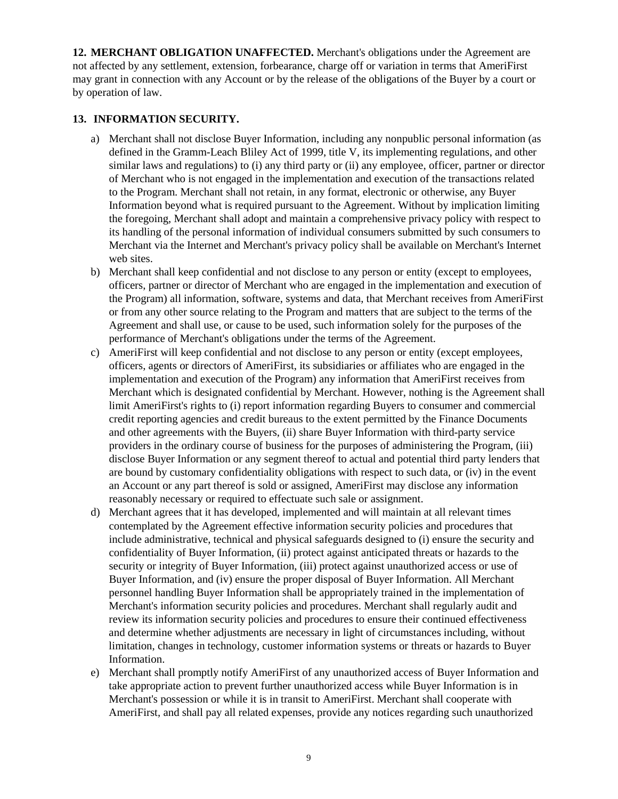**12. MERCHANT OBLIGATION UNAFFECTED.** Merchant's obligations under the Agreement are not affected by any settlement, extension, forbearance, charge off or variation in terms that AmeriFirst may grant in connection with any Account or by the release of the obligations of the Buyer by a court or by operation of law.

# **13. INFORMATION SECURITY.**

- a) Merchant shall not disclose Buyer Information, including any nonpublic personal information (as defined in the Gramm-Leach Bliley Act of 1999, title V, its implementing regulations, and other similar laws and regulations) to (i) any third party or (ii) any employee, officer, partner or director of Merchant who is not engaged in the implementation and execution of the transactions related to the Program. Merchant shall not retain, in any format, electronic or otherwise, any Buyer Information beyond what is required pursuant to the Agreement. Without by implication limiting the foregoing, Merchant shall adopt and maintain a comprehensive privacy policy with respect to its handling of the personal information of individual consumers submitted by such consumers to Merchant via the Internet and Merchant's privacy policy shall be available on Merchant's Internet web sites.
- b) Merchant shall keep confidential and not disclose to any person or entity (except to employees, officers, partner or director of Merchant who are engaged in the implementation and execution of the Program) all information, software, systems and data, that Merchant receives from AmeriFirst or from any other source relating to the Program and matters that are subject to the terms of the Agreement and shall use, or cause to be used, such information solely for the purposes of the performance of Merchant's obligations under the terms of the Agreement.
- c) AmeriFirst will keep confidential and not disclose to any person or entity (except employees, officers, agents or directors of AmeriFirst, its subsidiaries or affiliates who are engaged in the implementation and execution of the Program) any information that AmeriFirst receives from Merchant which is designated confidential by Merchant. However, nothing is the Agreement shall limit AmeriFirst's rights to (i) report information regarding Buyers to consumer and commercial credit reporting agencies and credit bureaus to the extent permitted by the Finance Documents and other agreements with the Buyers, (ii) share Buyer Information with third-party service providers in the ordinary course of business for the purposes of administering the Program, (iii) disclose Buyer Information or any segment thereof to actual and potential third party lenders that are bound by customary confidentiality obligations with respect to such data, or (iv) in the event an Account or any part thereof is sold or assigned, AmeriFirst may disclose any information reasonably necessary or required to effectuate such sale or assignment.
- d) Merchant agrees that it has developed, implemented and will maintain at all relevant times contemplated by the Agreement effective information security policies and procedures that include administrative, technical and physical safeguards designed to (i) ensure the security and confidentiality of Buyer Information, (ii) protect against anticipated threats or hazards to the security or integrity of Buyer Information, (iii) protect against unauthorized access or use of Buyer Information, and (iv) ensure the proper disposal of Buyer Information. All Merchant personnel handling Buyer Information shall be appropriately trained in the implementation of Merchant's information security policies and procedures. Merchant shall regularly audit and review its information security policies and procedures to ensure their continued effectiveness and determine whether adjustments are necessary in light of circumstances including, without limitation, changes in technology, customer information systems or threats or hazards to Buyer Information.
- e) Merchant shall promptly notify AmeriFirst of any unauthorized access of Buyer Information and take appropriate action to prevent further unauthorized access while Buyer Information is in Merchant's possession or while it is in transit to AmeriFirst. Merchant shall cooperate with AmeriFirst, and shall pay all related expenses, provide any notices regarding such unauthorized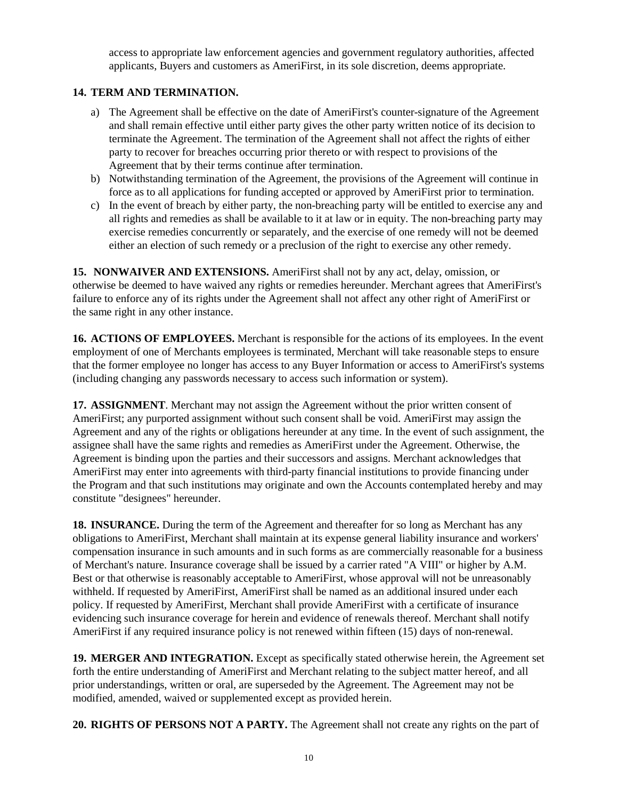access to appropriate law enforcement agencies and government regulatory authorities, affected applicants, Buyers and customers as AmeriFirst, in its sole discretion, deems appropriate.

# **14. TERM AND TERMINATION.**

- a) The Agreement shall be effective on the date of AmeriFirst's counter-signature of the Agreement and shall remain effective until either party gives the other party written notice of its decision to terminate the Agreement. The termination of the Agreement shall not affect the rights of either party to recover for breaches occurring prior thereto or with respect to provisions of the Agreement that by their terms continue after termination.
- b) Notwithstanding termination of the Agreement, the provisions of the Agreement will continue in force as to all applications for funding accepted or approved by AmeriFirst prior to termination.
- c) In the event of breach by either party, the non-breaching party will be entitled to exercise any and all rights and remedies as shall be available to it at law or in equity. The non-breaching party may exercise remedies concurrently or separately, and the exercise of one remedy will not be deemed either an election of such remedy or a preclusion of the right to exercise any other remedy.

**15. NONWAIVER AND EXTENSIONS.** AmeriFirst shall not by any act, delay, omission, or otherwise be deemed to have waived any rights or remedies hereunder. Merchant agrees that AmeriFirst's failure to enforce any of its rights under the Agreement shall not affect any other right of AmeriFirst or the same right in any other instance.

**16. ACTIONS OF EMPLOYEES.** Merchant is responsible for the actions of its employees. In the event employment of one of Merchants employees is terminated, Merchant will take reasonable steps to ensure that the former employee no longer has access to any Buyer Information or access to AmeriFirst's systems (including changing any passwords necessary to access such information or system).

**17. ASSIGNMENT**. Merchant may not assign the Agreement without the prior written consent of AmeriFirst; any purported assignment without such consent shall be void. AmeriFirst may assign the Agreement and any of the rights or obligations hereunder at any time. In the event of such assignment, the assignee shall have the same rights and remedies as AmeriFirst under the Agreement. Otherwise, the Agreement is binding upon the parties and their successors and assigns. Merchant acknowledges that AmeriFirst may enter into agreements with third-party financial institutions to provide financing under the Program and that such institutions may originate and own the Accounts contemplated hereby and may constitute "designees" hereunder.

**18. INSURANCE.** During the term of the Agreement and thereafter for so long as Merchant has any obligations to AmeriFirst, Merchant shall maintain at its expense general liability insurance and workers' compensation insurance in such amounts and in such forms as are commercially reasonable for a business of Merchant's nature. Insurance coverage shall be issued by a carrier rated "A VIII" or higher by A.M. Best or that otherwise is reasonably acceptable to AmeriFirst, whose approval will not be unreasonably withheld. If requested by AmeriFirst, AmeriFirst shall be named as an additional insured under each policy. If requested by AmeriFirst, Merchant shall provide AmeriFirst with a certificate of insurance evidencing such insurance coverage for herein and evidence of renewals thereof. Merchant shall notify AmeriFirst if any required insurance policy is not renewed within fifteen (15) days of non-renewal.

**19. MERGER AND INTEGRATION.** Except as specifically stated otherwise herein, the Agreement set forth the entire understanding of AmeriFirst and Merchant relating to the subject matter hereof, and all prior understandings, written or oral, are superseded by the Agreement. The Agreement may not be modified, amended, waived or supplemented except as provided herein.

**20. RIGHTS OF PERSONS NOT A PARTY.** The Agreement shall not create any rights on the part of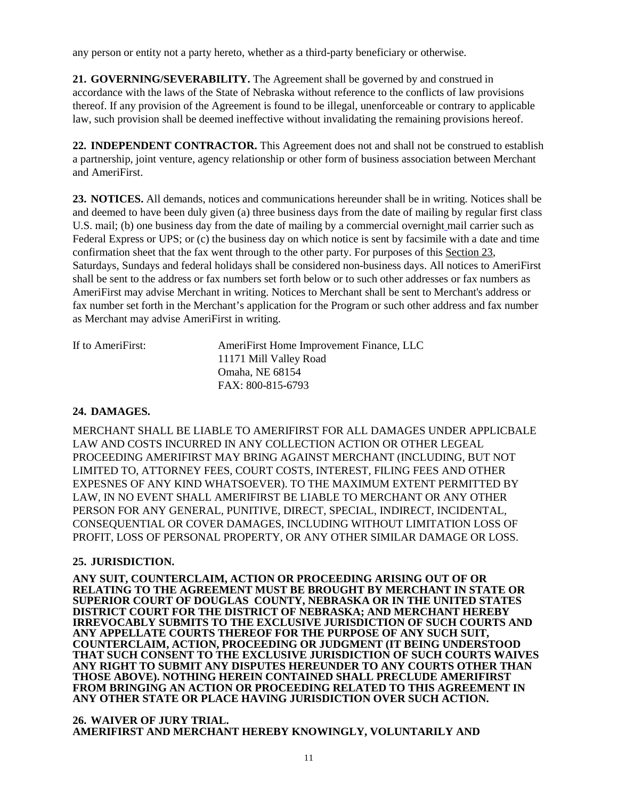any person or entity not a party hereto, whether as a third-party beneficiary or otherwise.

**21. GOVERNING/SEVERABILITY.** The Agreement shall be governed by and construed in accordance with the laws of the State of Nebraska without reference to the conflicts of law provisions thereof. If any provision of the Agreement is found to be illegal, unenforceable or contrary to applicable law, such provision shall be deemed ineffective without invalidating the remaining provisions hereof.

**22. INDEPENDENT CONTRACTOR.** This Agreement does not and shall not be construed to establish a partnership, joint venture, agency relationship or other form of business association between Merchant and AmeriFirst.

**23. NOTICES.** All demands, notices and communications hereunder shall be in writing. Notices shall be and deemed to have been duly given (a) three business days from the date of mailing by regular first class U.S. mail; (b) one business day from the date of mailing by a commercial overnight mail carrier such as Federal Express or UPS; or (c) the business day on which notice is sent by facsimile with a date and time confirmation sheet that the fax went through to the other party. For purposes of this Section 23, Saturdays, Sundays and federal holidays shall be considered non-business days. All notices to AmeriFirst shall be sent to the address or fax numbers set forth below or to such other addresses or fax numbers as AmeriFirst may advise Merchant in writing. Notices to Merchant shall be sent to Merchant's address or fax number set forth in the Merchant's application for the Program or such other address and fax number as Merchant may advise AmeriFirst in writing.

| If to AmeriFirst: | AmeriFirst Home Improvement Finance, LLC |
|-------------------|------------------------------------------|
|                   | 11171 Mill Valley Road                   |
|                   | Omaha, NE 68154                          |
|                   | FAX: 800-815-6793                        |
|                   |                                          |

## **24. DAMAGES.**

MERCHANT SHALL BE LIABLE TO AMERIFIRST FOR ALL DAMAGES UNDER APPLICBALE LAW AND COSTS INCURRED IN ANY COLLECTION ACTION OR OTHER LEGEAL PROCEEDING AMERIFIRST MAY BRING AGAINST MERCHANT (INCLUDING, BUT NOT LIMITED TO, ATTORNEY FEES, COURT COSTS, INTEREST, FILING FEES AND OTHER EXPESNES OF ANY KIND WHATSOEVER). TO THE MAXIMUM EXTENT PERMITTED BY LAW, IN NO EVENT SHALL AMERIFIRST BE LIABLE TO MERCHANT OR ANY OTHER PERSON FOR ANY GENERAL, PUNITIVE, DIRECT, SPECIAL, INDIRECT, INCIDENTAL, CONSEQUENTIAL OR COVER DAMAGES, INCLUDING WITHOUT LIMITATION LOSS OF PROFIT, LOSS OF PERSONAL PROPERTY, OR ANY OTHER SIMILAR DAMAGE OR LOSS.

## **25. JURISDICTION.**

**ANY SUIT, COUNTERCLAIM, ACTION OR PROCEEDING ARISING OUT OF OR RELATING TO THE AGREEMENT MUST BE BROUGHT BY MERCHANT IN STATE OR SUPERIOR COURT OF DOUGLAS COUNTY, NEBRASKA OR IN THE UNITED STATES DISTRICT COURT FOR THE DISTRICT OF NEBRASKA; AND MERCHANT HEREBY IRREVOCABLY SUBMITS TO THE EXCLUSIVE JURISDICTION OF SUCH COURTS AND ANY APPELLATE COURTS THEREOF FOR THE PURPOSE OF ANY SUCH SUIT, COUNTERCLAIM, ACTION, PROCEEDING OR JUDGMENT (IT BEING UNDERSTOOD THAT SUCH CONSENT TO THE EXCLUSIVE JURISDICTION OF SUCH COURTS WAIVES ANY RIGHT TO SUBMIT ANY DISPUTES HEREUNDER TO ANY COURTS OTHER THAN THOSE ABOVE). NOTHING HEREIN CONTAINED SHALL PRECLUDE AMERIFIRST FROM BRINGING AN ACTION OR PROCEEDING RELATED TO THIS AGREEMENT IN ANY OTHER STATE OR PLACE HAVING JURISDICTION OVER SUCH ACTION.**

**26. WAIVER OF JURY TRIAL. AMERIFIRST AND MERCHANT HEREBY KNOWINGLY, VOLUNTARILY AND**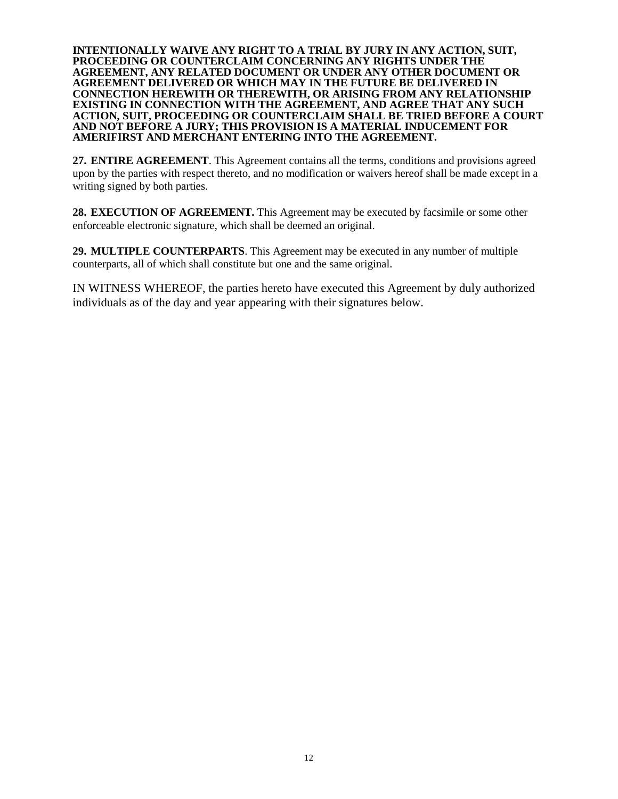**INTENTIONALLY WAIVE ANY RIGHT TO A TRIAL BY JURY IN ANY ACTION, SUIT, PROCEEDING OR COUNTERCLAIM CONCERNING ANY RIGHTS UNDER THE AGREEMENT, ANY RELATED DOCUMENT OR UNDER ANY OTHER DOCUMENT OR AGREEMENT DELIVERED OR WHICH MAY IN THE FUTURE BE DELIVERED IN CONNECTION HEREWITH OR THEREWITH, OR ARISING FROM ANY RELATIONSHIP EXISTING IN CONNECTION WITH THE AGREEMENT, AND AGREE THAT ANY SUCH ACTION, SUIT, PROCEEDING OR COUNTERCLAIM SHALL BE TRIED BEFORE A COURT AND NOT BEFORE A JURY; THIS PROVISION IS A MATERIAL INDUCEMENT FOR AMERIFIRST AND MERCHANT ENTERING INTO THE AGREEMENT.**

**27. ENTIRE AGREEMENT**. This Agreement contains all the terms, conditions and provisions agreed upon by the parties with respect thereto, and no modification or waivers hereof shall be made except in a writing signed by both parties.

**28. EXECUTION OF AGREEMENT.** This Agreement may be executed by facsimile or some other enforceable electronic signature, which shall be deemed an original.

**29. MULTIPLE COUNTERPARTS**. This Agreement may be executed in any number of multiple counterparts, all of which shall constitute but one and the same original.

IN WITNESS WHEREOF, the parties hereto have executed this Agreement by duly authorized individuals as of the day and year appearing with their signatures below.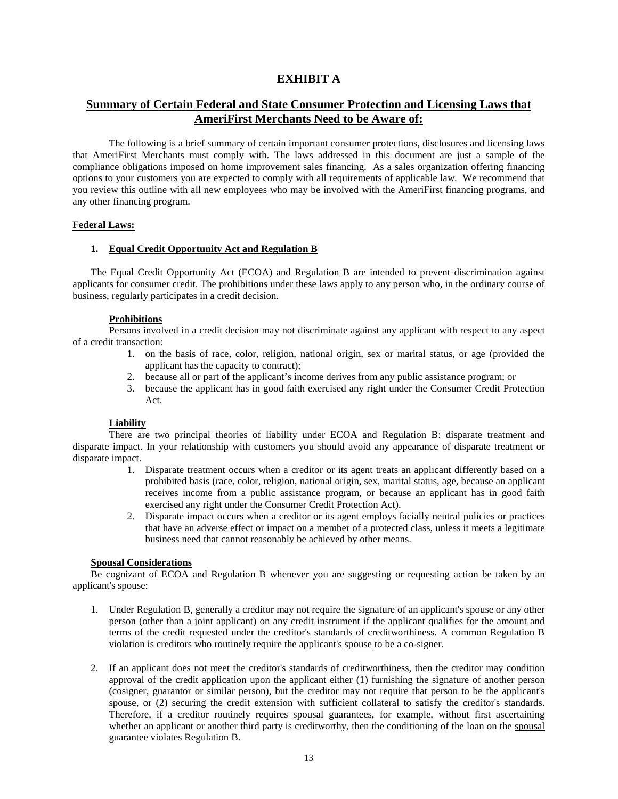# **EXHIBIT A**

# **Summary of Certain Federal and State Consumer Protection and Licensing Laws that AmeriFirst Merchants Need to be Aware of:**

The following is a brief summary of certain important consumer protections, disclosures and licensing laws that AmeriFirst Merchants must comply with. The laws addressed in this document are just a sample of the compliance obligations imposed on home improvement sales financing. As a sales organization offering financing options to your customers you are expected to comply with all requirements of applicable law. We recommend that you review this outline with all new employees who may be involved with the AmeriFirst financing programs, and any other financing program.

#### **Federal Laws:**

#### **1. Equal Credit Opportunity Act and Regulation B**

The Equal Credit Opportunity Act (ECOA) and Regulation B are intended to prevent discrimination against applicants for consumer credit. The prohibitions under these laws apply to any person who, in the ordinary course of business, regularly participates in a credit decision.

#### **Prohibitions**

Persons involved in a credit decision may not discriminate against any applicant with respect to any aspect of a credit transaction:

- 1. on the basis of race, color, religion, national origin, sex or marital status, or age (provided the applicant has the capacity to contract);
- 2. because all or part of the applicant's income derives from any public assistance program; or
- 3. because the applicant has in good faith exercised any right under the Consumer Credit Protection Act.

#### **Liability**

There are two principal theories of liability under ECOA and Regulation B: disparate treatment and disparate impact. In your relationship with customers you should avoid any appearance of disparate treatment or disparate impact.

- 1. Disparate treatment occurs when a creditor or its agent treats an applicant differently based on a prohibited basis (race, color, religion, national origin, sex, marital status, age, because an applicant receives income from a public assistance program, or because an applicant has in good faith exercised any right under the Consumer Credit Protection Act).
- 2. Disparate impact occurs when a creditor or its agent employs facially neutral policies or practices that have an adverse effect or impact on a member of a protected class, unless it meets a legitimate business need that cannot reasonably be achieved by other means.

#### **Spousal Considerations**

Be cognizant of ECOA and Regulation B whenever you are suggesting or requesting action be taken by an applicant's spouse:

- 1. Under Regulation B, generally a creditor may not require the signature of an applicant's spouse or any other person (other than a joint applicant) on any credit instrument if the applicant qualifies for the amount and terms of the credit requested under the creditor's standards of creditworthiness. A common Regulation B violation is creditors who routinely require the applicant's spouse to be a co-signer.
- 2. If an applicant does not meet the creditor's standards of creditworthiness, then the creditor may condition approval of the credit application upon the applicant either (1) furnishing the signature of another person (cosigner, guarantor or similar person), but the creditor may not require that person to be the applicant's spouse, or (2) securing the credit extension with sufficient collateral to satisfy the creditor's standards. Therefore, if a creditor routinely requires spousal guarantees, for example, without first ascertaining whether an applicant or another third party is creditworthy, then the conditioning of the loan on the spousal guarantee violates Regulation B.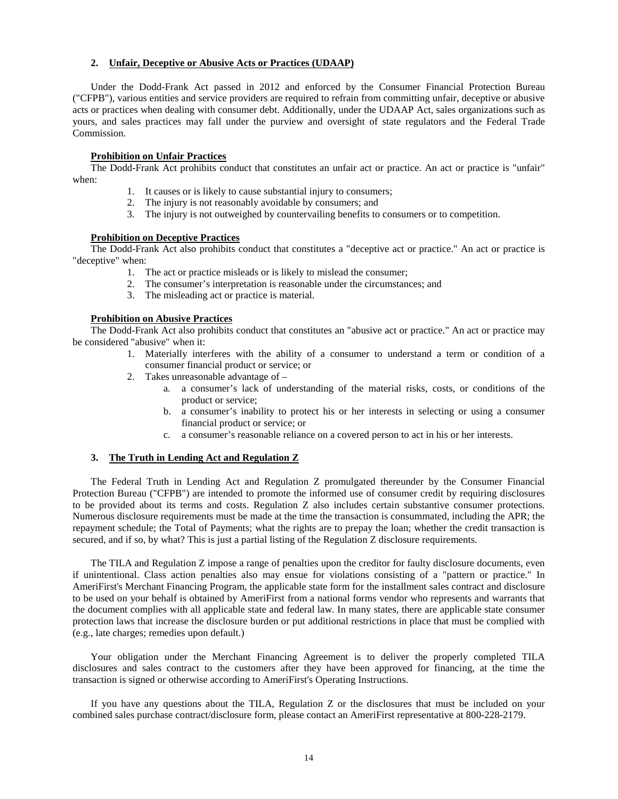#### **2. Unfair, Deceptive or Abusive Acts or Practices (UDAAP)**

Under the Dodd-Frank Act passed in 2012 and enforced by the Consumer Financial Protection Bureau ("CFPB"), various entities and service providers are required to refrain from committing unfair, deceptive or abusive acts or practices when dealing with consumer debt. Additionally, under the UDAAP Act, sales organizations such as yours, and sales practices may fall under the purview and oversight of state regulators and the Federal Trade Commission.

#### **Prohibition on Unfair Practices**

The Dodd-Frank Act prohibits conduct that constitutes an unfair act or practice. An act or practice is "unfair" when:

- 1. It causes or is likely to cause substantial injury to consumers;
- 2. The injury is not reasonably avoidable by consumers; and
- 3. The injury is not outweighed by countervailing benefits to consumers or to competition.

#### **Prohibition on Deceptive Practices**

The Dodd-Frank Act also prohibits conduct that constitutes a "deceptive act or practice." An act or practice is "deceptive" when:

- 1. The act or practice misleads or is likely to mislead the consumer;
- 2. The consumer's interpretation is reasonable under the circumstances; and
- 3. The misleading act or practice is material.

#### **Prohibition on Abusive Practices**

The Dodd-Frank Act also prohibits conduct that constitutes an "abusive act or practice." An act or practice may be considered "abusive" when it:

- 1. Materially interferes with the ability of a consumer to understand a term or condition of a consumer financial product or service; or
- 2. Takes unreasonable advantage of
	- a. a consumer's lack of understanding of the material risks, costs, or conditions of the product or service;
	- b. a consumer's inability to protect his or her interests in selecting or using a consumer financial product or service; or
	- c. a consumer's reasonable reliance on a covered person to act in his or her interests.

#### **3. The Truth in Lending Act and Regulation Z**

The Federal Truth in Lending Act and Regulation Z promulgated thereunder by the Consumer Financial Protection Bureau ("CFPB") are intended to promote the informed use of consumer credit by requiring disclosures to be provided about its terms and costs. Regulation Z also includes certain substantive consumer protections. Numerous disclosure requirements must be made at the time the transaction is consummated, including the APR; the repayment schedule; the Total of Payments; what the rights are to prepay the loan; whether the credit transaction is secured, and if so, by what? This is just a partial listing of the Regulation Z disclosure requirements.

The TILA and Regulation Z impose a range of penalties upon the creditor for faulty disclosure documents, even if unintentional. Class action penalties also may ensue for violations consisting of a "pattern or practice." In AmeriFirst's Merchant Financing Program, the applicable state form for the installment sales contract and disclosure to be used on your behalf is obtained by AmeriFirst from a national forms vendor who represents and warrants that the document complies with all applicable state and federal law. In many states, there are applicable state consumer protection laws that increase the disclosure burden or put additional restrictions in place that must be complied with (e.g., late charges; remedies upon default.)

Your obligation under the Merchant Financing Agreement is to deliver the properly completed TILA disclosures and sales contract to the customers after they have been approved for financing, at the time the transaction is signed or otherwise according to AmeriFirst's Operating Instructions.

If you have any questions about the TILA, Regulation Z or the disclosures that must be included on your combined sales purchase contract/disclosure form, please contact an AmeriFirst representative at 800-228-2179.